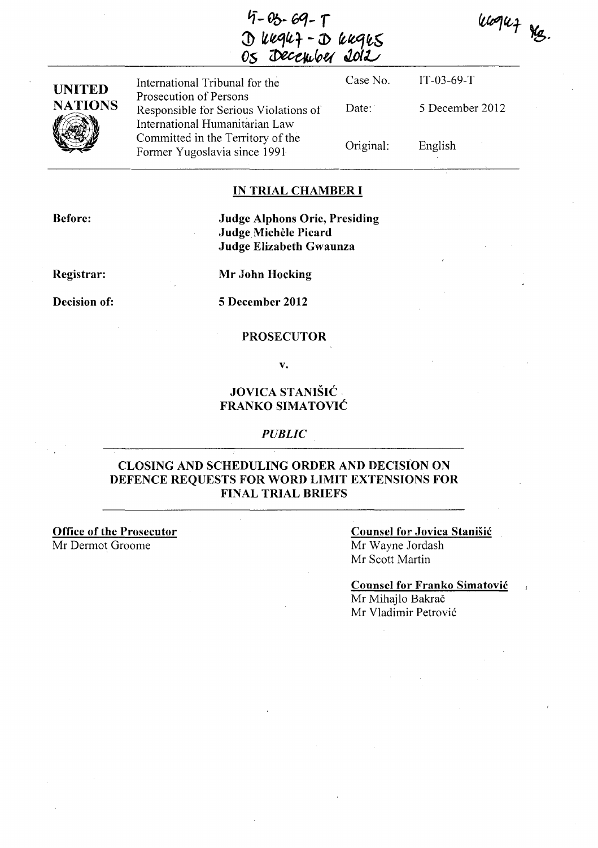*If-(Jb. 6q-* **r**  $\mathcal{D}$  kegef -  $\mathcal{D}$  keges <u>Os December Jolt</u>





International Tribunal for the Prosecution of Persons Responsible for Serious Violations of International Humanitarian Law Committed in the Territory of the Former Yugoslavia since 1991 Date:

Case No. Original: IT-03-69-T 5 December 2012 English

#### **IN TRIAL CHAMBER I**

**Before:** 

**Judge Alphons Orie, Presiding**  Judge Michele **Picard Judge Elizabeth Gwaunza** 

**Registrar:** 

**Mr John Hocking** 

**Decision of: 5 December 2012** 

#### **PROSECUTOR**

**v.** 

# **JOVICA STANIŠIĆ FRANKO SIMA TOVIC**

#### *PUBLIC*

## **CLOSING AND SCHEDULING ORDER AND DECISION ON DEFENCE REQUESTS FOR WORD LIMIT EXTENSIONS FOR FINAL TRIAL BRIEFS**

**Office of the Prosecutor**  Mr Dermot Groome

### **Counsel for Jovica Stanisic**  Mr Wayne lordash Mr Scott Martin

**Counsel for Franko Simatovic**  Mr Mihajlo Bakrač Mr Vladimir Petrović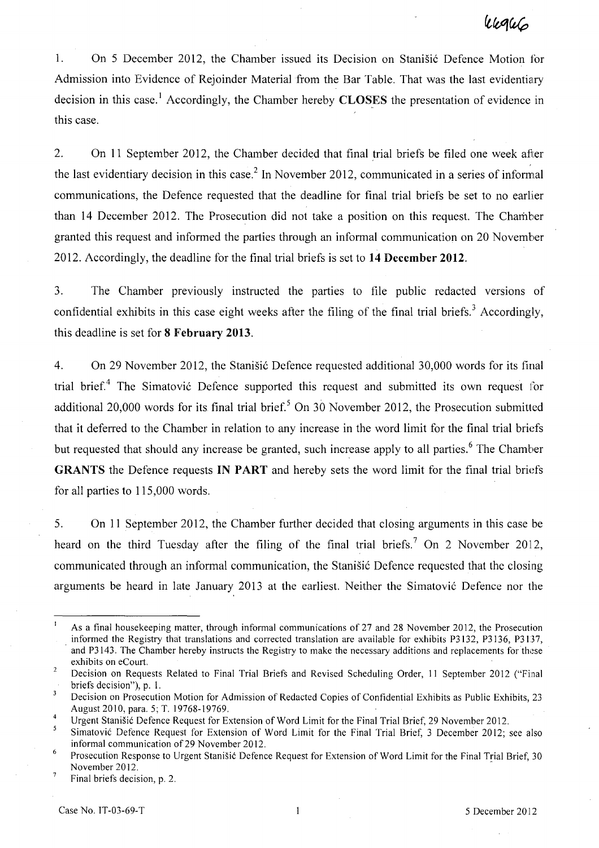1. On 5 December 2012, the Chamber issued its Decision on Stanišić Defence Motion for Admission into Evidence of Rejoinder Material from the Bar Table. That was the last evidentiary decision in this case.<sup>1</sup> Accordingly, the Chamber hereby **CLOSES** the presentation of evidence in this case.

2. On 11 September 2012, the Chamber decided that final trial briefs be filed one week afler the last evidentiary decision in this case.<sup>2</sup> In November 2012, communicated in a series of informal communications, the Defence requested that the deadline for final trial briefs be set to no earlier than 14 December 2012. The Prosecution did not take a position on this request. The Chamber granted this request and informed the parties through an informal communication on 20 November 2012. Accordingly, the deadline for the final trial briefs is set to **14** December 2012.

3. The Chamber previously instructed the parties to file public redacted versions of confidential exhibits in this case eight weeks after the filing of the final trial briefs.<sup>3</sup> Accordingly, this deadline is set for 8 February 2013.

4. On 29 November 2012, the Stanišić Defence requested additional 30,000 words for its final trial brief.<sup>4</sup> The Simatović Defence supported this request and submitted its own request for additional 20,000 words for its final trial brief.<sup>5</sup> On 30 November 2012, the Prosecution submitted that it deferred to the Chamber in relation to any increase in the word limit for the final trial briefs but requested that should any increase be granted, such increase apply to all parties.<sup>6</sup> The Chamber GRANTS the Defence requests IN PART and hereby sets the word limit for the final trial briefs for all parties to 115,000 words.

5. On 11 September 2012, the Chamber further decided that closing arguments in this case be heard on the third Tuesday after the filing of the final trial briefs.<sup>7</sup> On 2 November 2012, communicated through an informal communication, the Stanisic Defence requested that the closing arguments be heard in late January 2013 at the earliest. Neither the Simatović Defence nor the

 $\mathbf{1}$ As a final housekeeping matter, through informal communications of 27 and 28 November 2012, the Prosecution informed the Registry that translations and corrected translation are available for exhibits P3132, P3136, P3137, and P3143. The Chamber hereby instructs the Registry to make the necessary additions and replacements for these exhibits on eCourt.

 $\overline{c}$ Decision on Requests Related to Final Trial Briefs and Revised Scheduling Order, II September 2012 ("Final briefs decision"), p. I.

 $\overline{3}$ Decision on Prosecution Motion for Admission of Redacted Copies of Confidential Exhibits as Public Exhibits, 23 August 2010, para. 5; T. 19768-19769.

 $\overline{4}$ Urgent Stanišić Defence Request for Extension of Word Limit for the Final Trial Brief, 29 November 2012.

<sup>5</sup> Simatovi6 Defence Request for Extension of Word Limit for the Final Trial Brief, 3 December 2012; see also informal communication of 29 November 2012.

<sup>6</sup>  Prosecution Response to Urgent Stanišić Defence Request for Extension of Word Limit for the Final Trial Brief, 30 November 2012.  $\boldsymbol{7}$ 

Final briefs decision, p. 2.